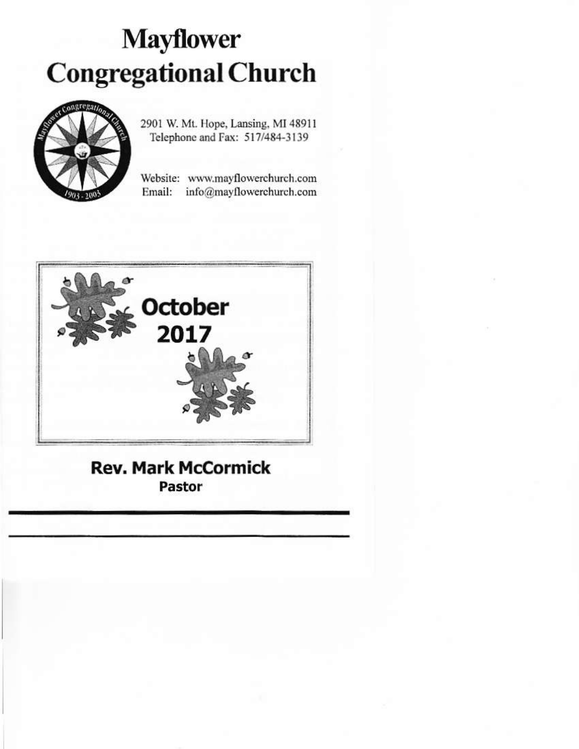# **Mayflower** Congregational Church



2901 W. Mt. Hope, Lansing, MI 48911 Telephone and Fax: 517/484-3139

Website: www.mayflowerchurch.com Email: info@mayflowerchurch.com



## Rev. Mark Mccormick Pastor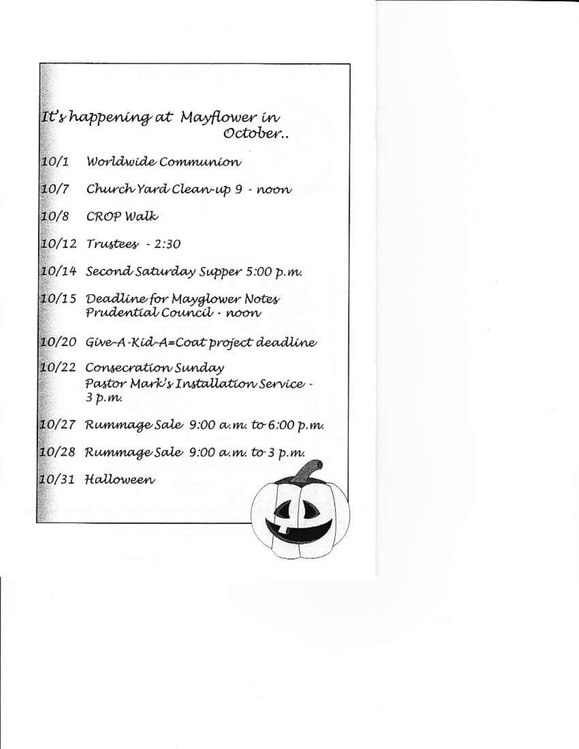### It's happening at Mayflower in October..

- $10/1$ Worldwide Communion
- 10/7 Church Yard Clean-up 9 noon
- 10/8 CROP Walk
- 10/12 Trustees 2:30
- 10/14 Second Saturday Supper 5:00 p.m.
- 10/15 Deadline for Mayglower Notes Prudential Council - noon
- 10/20 Give-A-Kid-A=Coat project deadline
- 10/22 Consecration Sunday Pastor Mark's Installation Service - $3 p.m.$
- 10/27 Rummage Sale 9:00 a.m. to 6:00 p.m.
- 10/28 Rummage Sale 9:00 a.m. to 3 p.m.
- 10/31 Halloween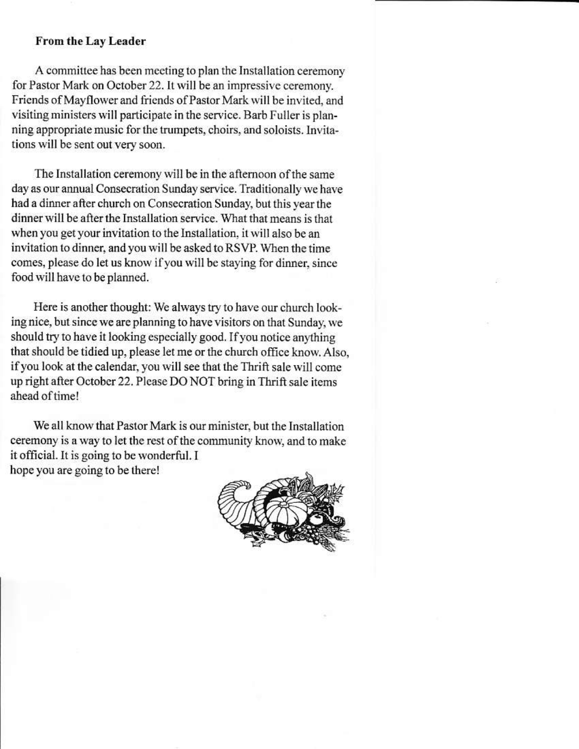### From the Lay Leader

A committee has been meeting to plan the Installation ceremony for Pastor Mark on October 22. It will be an impressive ceremony. Friends of Mayflower and friends of Pastor Mark will be invited, and visiting ministers will participate in the service. Barb Fuller is planning appropriate music for the trumpets, choirs, and soloists. Invitations will be sent out very soon.

The Installation ceremony will be in the afternoon of the same day as our annual Consecration Sunday service. Traditionally we have had a dinner after church on Consecration Sunday, but this year the dinner will be after the Installation service. What that means is that when you get your invitation to the Installation, it will also be an invitation to dinner, and you will be asked to RSVP. When the time comes, please do let us know if you will be staying for dinner, since food will have to be planned.

Here is another thought: We always try to have our church looking nice, but since we are planning to have visitors on that Sunday, we should try to have it looking especially good. If you notice anything that should be tidied up, please let me or the church office know. Also, if you look at the calendar, you will see that the Thrift sale will come up right after October 22. Please DO NOT bring in Thrift sale items ahead of time!

We all know that Pastor Mark is our minister, but the Installation ceremony is a way to let the rest of the community know, and to make it official. It is going to be wonderful. I hope you are going to be there!

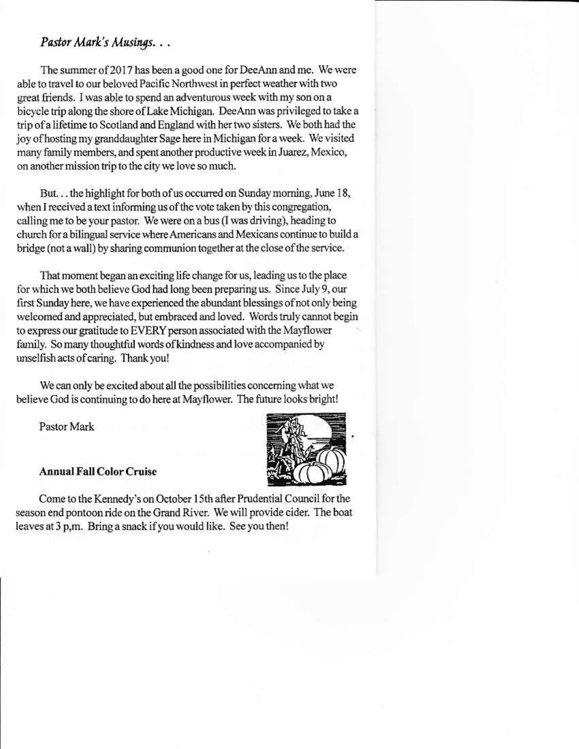### Pastor Mark's Musings...

The summer of 2017 has been a good one for DeeAnn and me. We were able to travel to our beloved Pacific Northwest in perfect weather with two great friends. I was able to spend an adventurous week with my son on a bicycle trip along the shore of Lake Michigan. DeeAnn was privileged to take a trip of a lifetime to Scotland and England with her two sisters. We both had the joy of hosting my granddaughter Sage here in Michigan for a week. We visited many family members, and spent another productive week in Juarez, Mexico, on another mission trip to the city we love so much.

But... the highlight for both of us occurred on Sunday morning, June 18, when I received a text informing us of the vote taken by this congregation, calling me to be your pastor. We were on a bus (I was driving), heading to church for a bilingual service where Americans and Mexicans continue to build a bridge (not a wall) by sharing communion together at the close of the service.

That moment began an exciting life change for us, leading us to the place for which we both believe God had long been preparing us. Since July 9, our first Sunday here, we have experienced the abundant blessings of not only being welcomed and appreciated, but embraced and loved. Words truly cannot begin to express our gratitude to EVERY person associated with the Mayflower family. So many thoughtful words of kindness and love accompanied by unselfish acts of caring. Thank you!

We can only be excited about all the possibilities concerning what we believe God is continuing to do here at Mayflower. The future looks bright!

Pastor Mark



### **Annual Fall Color Cruise**

Come to the Kennedy's on October 15th after Prudential Council for the season end pontoon ride on the Grand River. We will provide cider. The boat leaves at 3 p,m. Bring a snack if you would like. See you then!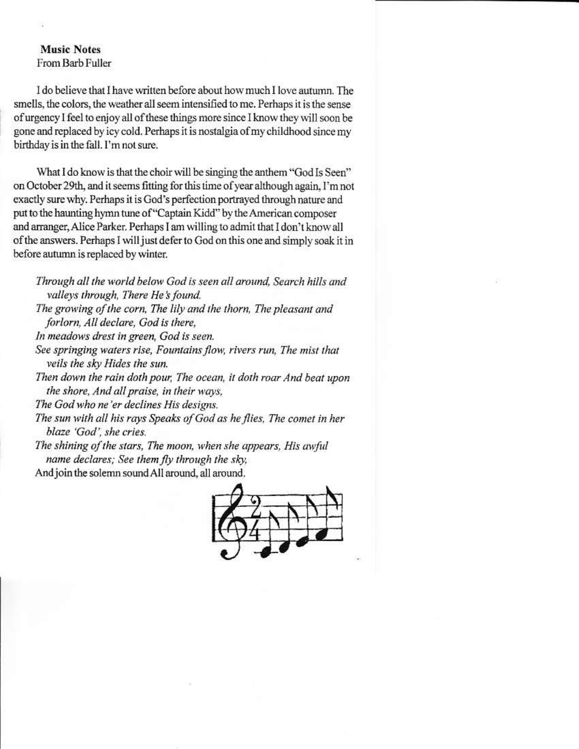### **Music Notes** From Barb Fuller

I do believe that I have written before about how much I love autumn. The smells, the colors, the weather all seem intensified to me. Perhaps it is the sense of urgency I feel to enjoy all of these things more since I know they will soon be gone and replaced by icy cold. Perhaps it is nostalgia of my childhood since my birthday is in the fall. I'm not sure.

What I do know is that the choir will be singing the anthem "God Is Seen" on October 29th, and it seems fitting for this time of year although again. I'm not exactly sure why. Perhaps it is God's perfection portrayed through nature and put to the haunting hymn tune of "Captain Kidd" by the American composer and arranger, Alice Parker. Perhaps I am willing to admit that I don't know all of the answers. Perhaps I will just defer to God on this one and simply soak it in before autumn is replaced by winter.

- Through all the world below God is seen all around, Search hills and valleys through, There He's found.
- The growing of the corn, The lily and the thorn, The pleasant and forlorn, All declare, God is there,
- In meadows drest in green, God is seen.
- See springing waters rise, Fountains flow, rivers run, The mist that veils the sky Hides the sun.
- Then down the rain doth pour, The ocean, it doth roar And beat upon the shore, And all praise, in their ways,
- The God who ne'er declines His designs.
- The sun with all his rays Speaks of God as he flies. The comet in her blaze 'God', she cries.
- The shining of the stars, The moon, when she appears, His awful name declares; See them fly through the sky,

And join the solemn sound All around, all around.

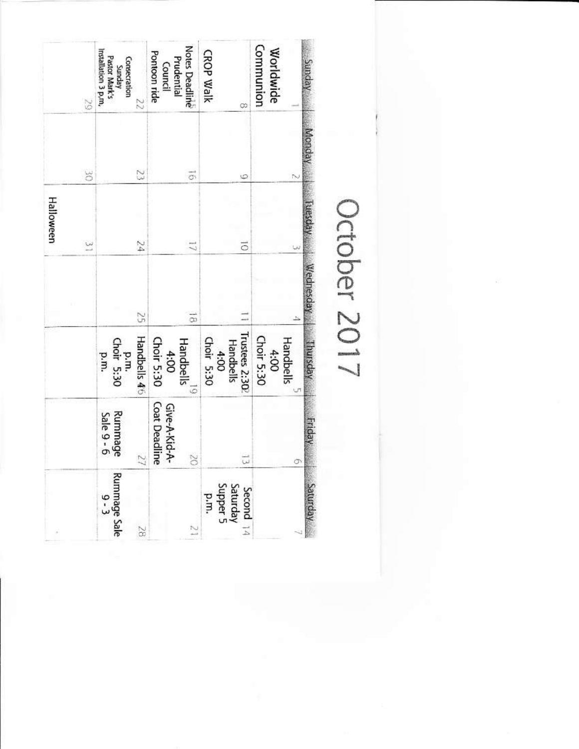| 67                       | Installation 3 p.m.<br>Pastor Mark's<br>Consecration<br>Yunday<br>22 | <b>Notes Deadline</b><br>Pontoon ride<br>Prudential<br>Council | CROP Walk<br>œ                          | Communion<br>Worldwide          |
|--------------------------|----------------------------------------------------------------------|----------------------------------------------------------------|-----------------------------------------|---------------------------------|
| S                        | Z                                                                    | $\vec{\sigma}$                                                 | $\circ$                                 |                                 |
| Halloween<br>$\tilde{ }$ | 54                                                                   | J                                                              | $\overline{\circ}$                      |                                 |
|                          | G                                                                    | $\vec{v}$                                                      |                                         |                                 |
|                          | Handbells 46<br>p.m.<br>Choir 5:30<br>p.m.                           | Choir 5:30<br>$\label{H}$ Handbells $^{19}$<br>4:00            | Trustees 2:302<br>Choir 5:30<br>4:00    | Choir 5:30<br>Handbells<br>4:00 |
|                          | Rummage<br>Sale $9 - 6$<br>22                                        | <b>Coat Deadline</b><br>Give-A-Kid-A-<br>S                     | $\vec{u}$                               | σ                               |
|                          | Rummage Sale<br>0 - 3<br>S                                           | $\tilde{z}$                                                    | Second $14$<br>Saturday<br>p.m.<br>p.m. |                                 |

# October 201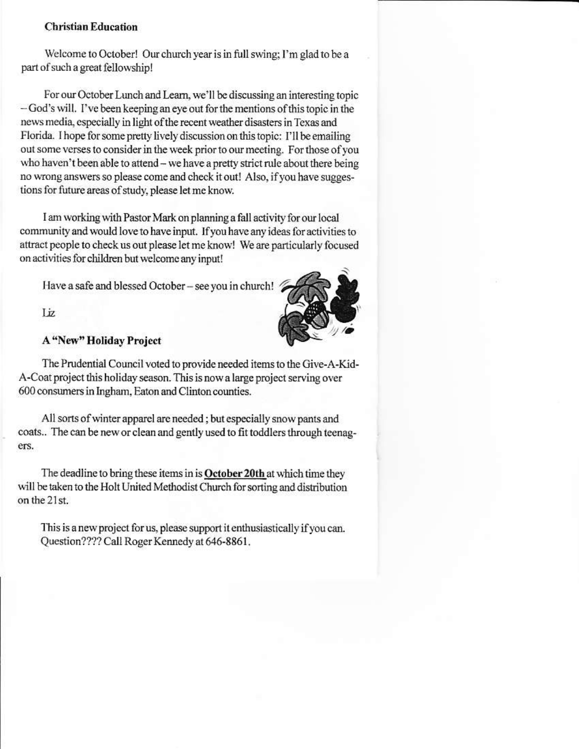### **Christian Education**

Welcome to October! Our church year is in full swing; I'm glad to be a part of such a great fellowship!

For our October Lunch and Learn, we'll be discussing an interesting topic -God's will. I've been keeping an eye out for the mentions of this topic in the news media, especially in light of the recent weather disasters in Texas and Florida. I hope for some pretty lively discussion on this topic: I'll be emailing out some verses to consider in the week prior to our meeting. For those of you who haven't been able to attend - we have a pretty strict rule about there being no wrong answers so please come and check it out! Also, if you have suggestions for future areas of study, please let me know.

I am working with Pastor Mark on planning a fall activity for our local community and would love to have input. If you have any ideas for activities to attract people to check us out please let me know! We are particularly focused on activities for children but welcome any input!

Have a safe and blessed October - see you in church!



Liz.

### **A "New" Holiday Project**

The Prudential Council voted to provide needed items to the Give-A-Kid-A-Coat project this holiday season. This is now a large project serving over 600 consumers in Ingham, Eaton and Clinton counties.

All sorts of winter apparel are needed; but especially snow pants and coats.. The can be new or clean and gently used to fit toddlers through teenagers.

The deadline to bring these items in is October 20th at which time they will be taken to the Holt United Methodist Church for sorting and distribution on the 21st.

This is a new project for us, please support it enthusiastically if you can. Question???? Call Roger Kennedy at 646-8861.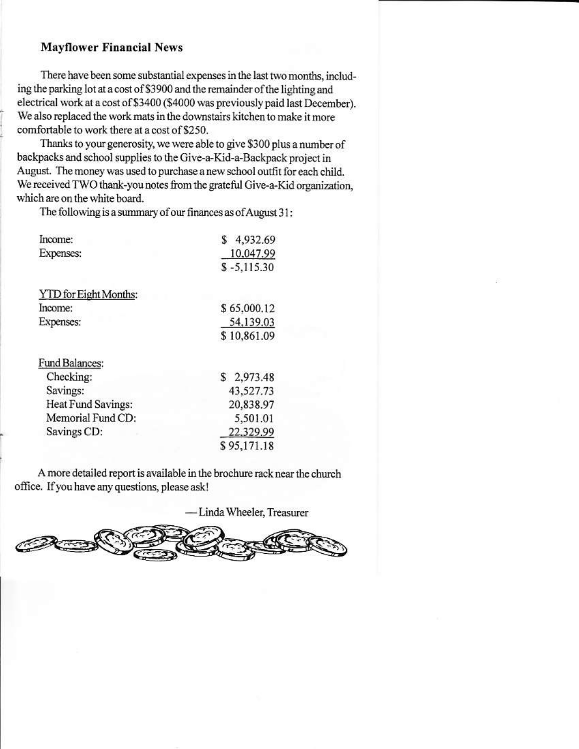### **Mayflower Financial News**

There have been some substantial expenses in the last two months, including the parking lot at a cost of \$3900 and the remainder of the lighting and electrical work at a cost of \$3400 (\$4000 was previously paid last December). We also replaced the work mats in the downstairs kitchen to make it more comfortable to work there at a cost of \$250.

Thanks to your generosity, we were able to give \$300 plus a number of backpacks and school supplies to the Give-a-Kid-a-Backpack project in August. The money was used to purchase a new school outfit for each child. We received TWO thank-you notes from the grateful Give-a-Kid organization, which are on the white board.

The following is a summary of our finances as of August 31:

| Income:                      | 4,932.69<br>S |  |  |
|------------------------------|---------------|--|--|
| Expenses:                    | 10,047.99     |  |  |
|                              | $$ -5,115.30$ |  |  |
| <b>YTD</b> for Eight Months: |               |  |  |
| Income:                      | \$65,000.12   |  |  |
| <b>Expenses:</b>             | 54,139.03     |  |  |
|                              | \$10,861.09   |  |  |
| Fund Balances:               |               |  |  |
| Checking:                    | \$2,973.48    |  |  |
| Savings:                     | 43,527.73     |  |  |
| Heat Fund Savings:           | 20,838.97     |  |  |
| Memorial Fund CD:            | 5,501.01      |  |  |
| Savings CD:                  | 22,329.99     |  |  |
|                              | \$95,171.18   |  |  |

A more detailed report is available in the brochure rack near the church office. If you have any questions, please ask!

- Linda Wheeler, Treasurer

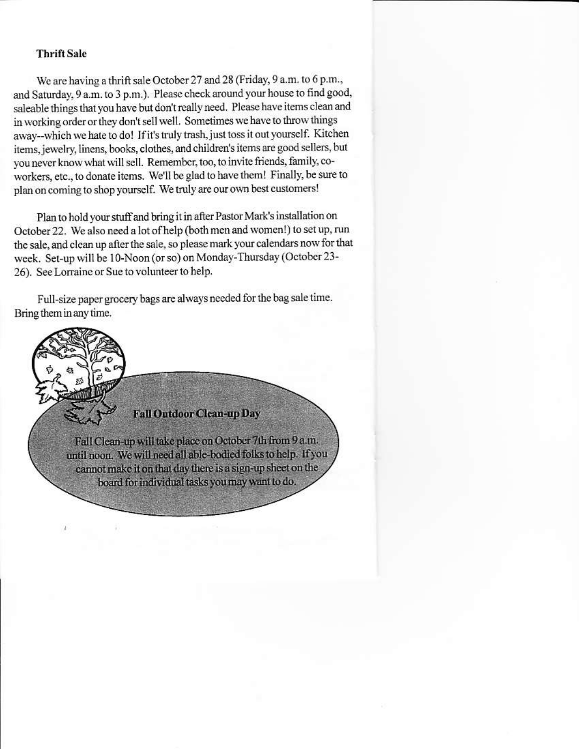#### **Thrift Sale**

We are having a thrift sale October 27 and 28 (Friday, 9 a.m. to 6 p.m., and Saturday, 9 a.m. to 3 p.m.). Please check around your house to find good, saleable things that you have but don't really need. Please have items clean and in working order or they don't sell well. Sometimes we have to throw things away--which we hate to do! If it's truly trash, just toss it out yourself. Kitchen items, jewelry, linens, books, clothes, and children's items are good sellers, but you never know what will sell. Remember, too, to invite friends, family, coworkers, etc., to donate items. We'll be glad to have them! Finally, be sure to plan on coming to shop yourself. We truly are our own best customers!

Plan to hold your stuff and bring it in after Pastor Mark's installation on October 22. We also need a lot of help (both men and women!) to set up, run the sale, and clean up after the sale, so please mark your calendars now for that week. Set-up will be 10-Noon (or so) on Monday-Thursday (October 23-26). See Lorraine or Sue to volunteer to help.

Full-size paper grocery bags are always needed for the bag sale time. Bring them in any time.